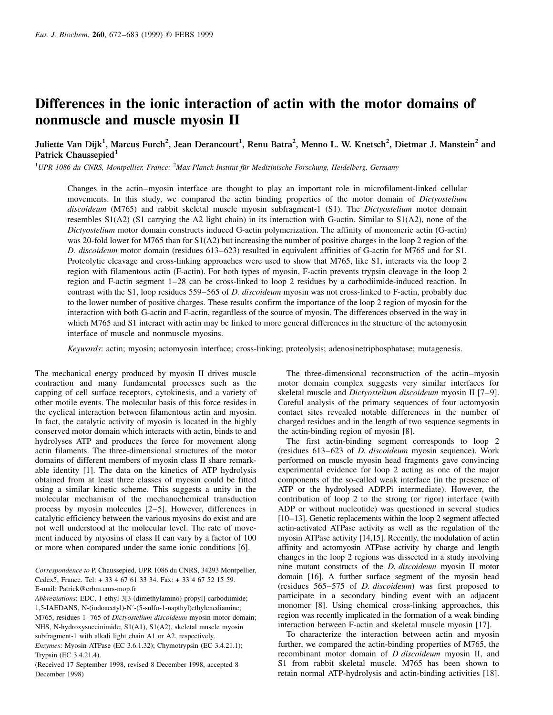# Differences in the ionic interaction of actin with the motor domains of nonmuscle and muscle myosin II

Juliette Van Dijk<sup>1</sup>, Marcus Furch<sup>2</sup>, Jean Derancourt<sup>1</sup>, Renu Batra<sup>2</sup>, Menno L. W. Knetsch<sup>2</sup>, Dietmar J. Manstein<sup>2</sup> and Patrick Chaussepied $1$ 

<sup>1</sup>UPR 1086 du CNRS, Montpellier, France; <sup>2</sup>Max-Planck-Institut für Medizinische Forschung, Heidelberg, Germany

Changes in the actin-myosin interface are thought to play an important role in microfilament-linked cellular movements. In this study, we compared the actin binding properties of the motor domain of Dictyostelium discoideum (M765) and rabbit skeletal muscle myosin subfragment-1 (S1). The Dictyostelium motor domain resembles S1(A2) (S1 carrying the A2 light chain) in its interaction with G-actin. Similar to S1(A2), none of the Dictyostelium motor domain constructs induced G-actin polymerization. The affinity of monomeric actin (G-actin) was 20-fold lower for M765 than for S1(A2) but increasing the number of positive charges in the loop 2 region of the D. discoideum motor domain (residues 613–623) resulted in equivalent affinities of G-actin for M765 and for S1. Proteolytic cleavage and cross-linking approaches were used to show that M765, like S1, interacts via the loop 2 region with filamentous actin (F-actin). For both types of myosin, F-actin prevents trypsin cleavage in the loop 2 region and F-actin segment 1-28 can be cross-linked to loop 2 residues by a carbodiimide-induced reaction. In contrast with the S1, loop residues 559–565 of D. discoideum myosin was not cross-linked to F-actin, probably due to the lower number of positive charges. These results confirm the importance of the loop 2 region of myosin for the interaction with both G-actin and F-actin, regardless of the source of myosin. The differences observed in the way in which M765 and S1 interact with actin may be linked to more general differences in the structure of the actomyosin interface of muscle and nonmuscle myosins.

Keywords: actin; myosin; actomyosin interface; cross-linking; proteolysis; adenosinetriphosphatase; mutagenesis.

The mechanical energy produced by myosin II drives muscle contraction and many fundamental processes such as the capping of cell surface receptors, cytokinesis, and a variety of other motile events. The molecular basis of this force resides in the cyclical interaction between filamentous actin and myosin. In fact, the catalytic activity of myosin is located in the highly conserved motor domain which interacts with actin, binds to and hydrolyses ATP and produces the force for movement along actin filaments. The three-dimensional structures of the motor domains of different members of myosin class II share remarkable identity [1]. The data on the kinetics of ATP hydrolysis obtained from at least three classes of myosin could be fitted using a similar kinetic scheme. This suggests a unity in the molecular mechanism of the mechanochemical transduction process by myosin molecules  $[2-5]$ . However, differences in catalytic efficiency between the various myosins do exist and are not well understood at the molecular level. The rate of movement induced by myosins of class II can vary by a factor of 100 or more when compared under the same ionic conditions [6].

Correspondence to P. Chaussepied, UPR 1086 du CNRS, 34293 Montpellier, Cedex5, France. Tel: + 33 4 67 61 33 34. Fax: + 33 4 67 52 15 59. E-mail: Patrick@crbm.cnrs-mop.fr

Abbreviations: EDC, 1-ethyl-3[3-(dimethylamino)-propyl]-carbodiimide; 1,5-IAEDANS, N-(iodoacetyl)-N'-(5-sulfo-1-napthyl)ethylenediamine; M765, residues 1–765 of *Dictyostelium discoideum* myosin motor domain; NHS, N-hydroxysuccinimide; S1(A1), S1(A2), skeletal muscle myosin subfragment-1 with alkali light chain A1 or A2, respectively.

Enzymes: Myosin ATPase (EC 3.6.1.32); Chymotrypsin (EC 3.4.21.1); Trypsin (EC 3.4.21.4).

(Received 17 September 1998, revised 8 December 1998, accepted 8 December 1998)

The three-dimensional reconstruction of the actin-myosin motor domain complex suggests very similar interfaces for skeletal muscle and *Dictyostelium discoideum* myosin II [7-9]. Careful analysis of the primary sequences of four actomyosin contact sites revealed notable differences in the number of charged residues and in the length of two sequence segments in the actin-binding region of myosin [8].

The first actin-binding segment corresponds to loop 2 (residues 613–623 of *D. discoideum* myosin sequence). Work performed on muscle myosin head fragments gave convincing experimental evidence for loop 2 acting as one of the major components of the so-called weak interface (in the presence of ATP or the hydrolysed ADP.Pi intermediate). However, the contribution of loop 2 to the strong (or rigor) interface (with ADP or without nucleotide) was questioned in several studies [10–13]. Genetic replacements within the loop 2 segment affected actin-activated ATPase activity as well as the regulation of the myosin ATPase activity [14,15]. Recently, the modulation of actin affinity and actomyosin ATPase activity by charge and length changes in the loop 2 regions was dissected in a study involving nine mutant constructs of the D. discoideum myosin II motor domain [16]. A further surface segment of the myosin head (residues  $565-575$  of *D. discoideum*) was first proposed to participate in a secondary binding event with an adjacent monomer [8]. Using chemical cross-linking approaches, this region was recently implicated in the formation of a weak binding interaction between F-actin and skeletal muscle myosin [17].

To characterize the interaction between actin and myosin further, we compared the actin-binding properties of M765, the recombinant motor domain of *D discoideum* myosin II, and S1 from rabbit skeletal muscle. M765 has been shown to retain normal ATP-hydrolysis and actin-binding activities [18].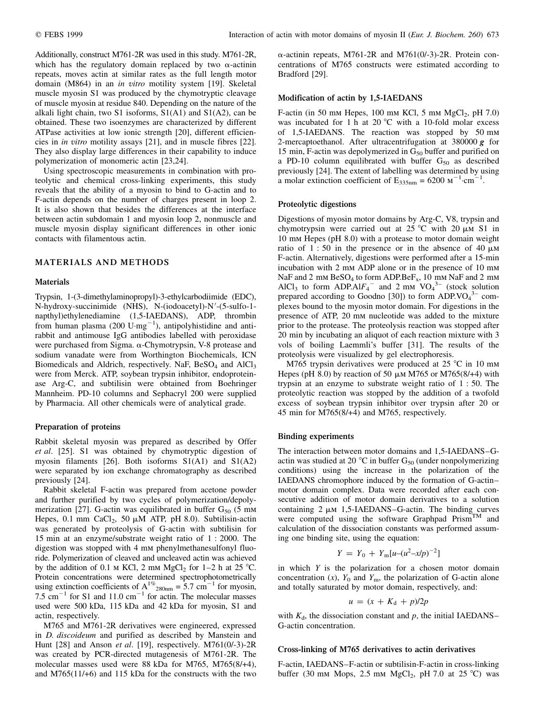Additionally, construct M761-2R was used in this study. M761-2R, which has the regulatory domain replaced by two  $\alpha$ -actinin repeats, moves actin at similar rates as the full length motor domain (M864) in an in vitro motility system [19]. Skeletal muscle myosin S1 was produced by the chymotryptic cleavage of muscle myosin at residue 840. Depending on the nature of the alkali light chain, two S1 isoforms, S1(A1) and S1(A2), can be obtained. These two isoenzymes are characterized by different ATPase activities at low ionic strength [20], different efficiencies in in vitro motility assays [21], and in muscle fibres [22]. They also display large differences in their capability to induce polymerization of monomeric actin [23,24].

Using spectroscopic measurements in combination with proteolytic and chemical cross-linking experiments, this study reveals that the ability of a myosin to bind to G-actin and to F-actin depends on the number of charges present in loop 2. It is also shown that besides the differences at the interface between actin subdomain 1 and myosin loop 2, nonmuscle and muscle myosin display significant differences in other ionic contacts with filamentous actin.

#### MATERIALS AND METHODS

#### Materials

Trypsin, 1-(3-dimethylaminopropyl)-3-ethylcarbodiimide (EDC), N-hydroxy-succinimide (NHS), N-(iodoacetyl)-N'-(5-sulfo-1napthyl)ethylenediamine (1,5-IAEDANS), ADP, thrombin from human plasma (200  $\text{U} \cdot \text{mg}^{-1}$ ), antipolyhistidine and antirabbit and antimouse IgG antibodies labelled with peroxidase were purchased from Sigma.  $\alpha$ -Chymotrypsin, V-8 protease and sodium vanadate were from Worthington Biochemicals, ICN Biomedicals and Aldrich, respectively. NaF,  $BeSO<sub>4</sub>$  and  $AlCl<sub>3</sub>$ were from Merck. ATP, soybean trypsin inhibitor, endoproteinase Arg-C, and subtilisin were obtained from Boehringer Mannheim. PD-10 columns and Sephacryl 200 were supplied by Pharmacia. All other chemicals were of analytical grade.

# Preparation of proteins

Rabbit skeletal myosin was prepared as described by Offer et al. [25]. S1 was obtained by chymotryptic digestion of myosin filaments [26]. Both isoforms S1(A1) and S1(A2) were separated by ion exchange chromatography as described previously [24].

Rabbit skeletal F-actin was prepared from acetone powder and further purified by two cycles of polymerization/depolymerization [27]. G-actin was equilibrated in buffer  $G_{50}$  (5 mm Hepes, 0.1 mm CaCl<sub>2</sub>, 50  $\mu$ M ATP, pH 8.0). Subtilisin-actin was generated by proteolysis of G-actin with subtilisin for 15 min at an enzyme/substrate weight ratio of 1 : 2000. The digestion was stopped with 4 mm phenylmethanesulfonyl fluoride. Polymerization of cleaved and uncleaved actin was achieved by the addition of 0.1 m KCl, 2 mm MgCl<sub>2</sub> for 1-2 h at 25 °C. Protein concentrations were determined spectrophotometrically using extinction coefficients of  $A^{1\%}$ <sub>280nm</sub> = 5.7 cm<sup>-1</sup> for myosin, 7.5  $\text{cm}^{-1}$  for S1 and 11.0  $\text{cm}^{-1}$  for actin. The molecular masses used were 500 kDa, 115 kDa and 42 kDa for myosin, S1 and actin, respectively.

M765 and M761-2R derivatives were engineered, expressed in D. discoideum and purified as described by Manstein and Hunt [28] and Anson et al. [19], respectively. M761(0/-3)-2R was created by PCR-directed mutagenesis of M761-2R. The molecular masses used were 88 kDa for M765, M765(8/+4), and M765(11/+6) and 115 kDa for the constructs with the two  $\alpha$ -actinin repeats, M761-2R and M761(0/-3)-2R. Protein concentrations of M765 constructs were estimated according to Bradford [29].

# Modification of actin by 1,5-IAEDANS

F-actin (in 50 mm Hepes, 100 mm KCl, 5 mm  $MgCl<sub>2</sub>$ , pH 7.0) was incubated for 1 h at 20  $^{\circ}$ C with a 10-fold molar excess of 1,5-IAEDANS. The reaction was stopped by 50 mm 2-mercaptoethanol. After ultracentrifugation at  $380000 g$  for 15 min, F-actin was depolymerized in  $G_{50}$  buffer and purified on a PD-10 column equilibrated with buffer  $G_{50}$  as described previously [24]. The extent of labelling was determined by using a molar extinction coefficient of  $E_{335nm} = 6200 \text{ m}^{-1} \text{ cm}^{-1}$ .

#### Proteolytic digestions

Digestions of myosin motor domains by Arg-C, V8, trypsin and chymotrypsin were carried out at  $25^{\circ}$ C with  $20 \mu M$  S1 in 10 mm Hepes (pH 8.0) with a protease to motor domain weight ratio of  $1:50$  in the presence or in the absence of  $40 \mu M$ F-actin. Alternatively, digestions were performed after a 15-min incubation with 2 mm ADP alone or in the presence of 10 mm NaF and 2 mm BeSO<sub>4</sub> to form ADP.BeF<sub>x</sub>, 10 mm NaF and 2 mm AlCl<sub>3</sub> to form ADP.Al $F_4$ <sup>-</sup> and 2 mm VO<sub>4</sub><sup>3-</sup> (stock solution prepared according to Goodno [30]) to form  $ADP.VO<sub>4</sub><sup>3-</sup>$  complexes bound to the myosin motor domain. For digestions in the presence of ATP, 20 mm nucleotide was added to the mixture prior to the protease. The proteolysis reaction was stopped after 20 min by incubating an aliquot of each reaction mixture with 3 vols of boiling Laemmli's buffer [31]. The results of the proteolysis were visualized by gel electrophoresis.

M765 trypsin derivatives were produced at  $25^{\circ}$ C in 10 mm Hepes (pH 8.0) by reaction of 50  $\mu$ m M765 or M765(8/+4) with trypsin at an enzyme to substrate weight ratio of 1 : 50. The proteolytic reaction was stopped by the addition of a twofold excess of soybean trypsin inhibitor over trypsin after 20 or 45 min for M765(8/+4) and M765, respectively.

#### Binding experiments

The interaction between motor domains and 1,5-IAEDANS-Gactin was studied at 20  $^{\circ}$ C in buffer G<sub>50</sub> (under nonpolymerizing conditions) using the increase in the polarization of the IAEDANS chromophore induced by the formation of G-actinmotor domain complex. Data were recorded after each consecutive addition of motor domain derivatives to a solution containing  $2 \mu M$  1,5-IAEDANS-G-actin. The binding curves were computed using the software Graphpad Prism<sup>TM</sup> and calculation of the dissociation constants was performed assuming one binding site, using the equation:

$$
Y = Y_0 + Y_m[u-(u^2-x/p)^{-2}]
$$

in which  $Y$  is the polarization for a chosen motor domain concentration  $(x)$ ,  $Y_0$  and  $Y_m$ , the polarization of G-actin alone and totally saturated by motor domain, respectively, and:

$$
u = (x + K_d + p)/2p
$$

with  $K_d$ , the dissociation constant and p, the initial IAEDANS $-$ G-actin concentration.

#### Cross-linking of M765 derivatives to actin derivatives

F-actin, IAEDANS–F-actin or subtilisin-F-actin in cross-linking buffer (30 mm Mops, 2.5 mm MgCl<sub>2</sub>, pH 7.0 at 25 °C) was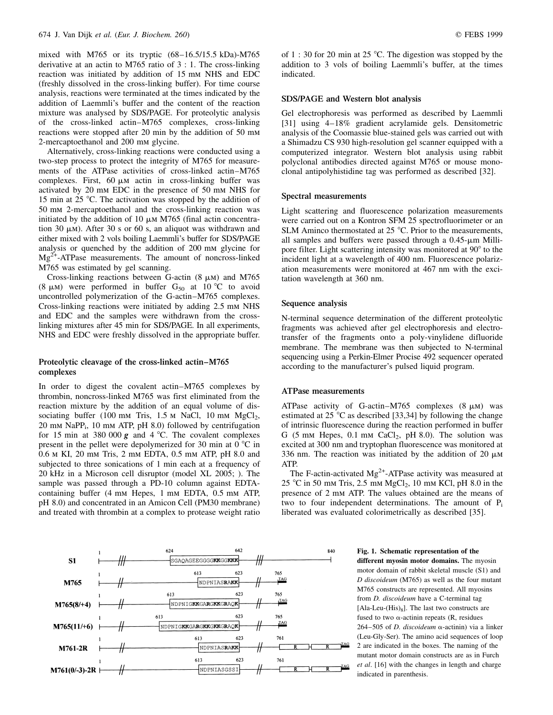mixed with M765 or its tryptic  $(68-16.5/15.5 \text{ kDa})$ -M765 derivative at an actin to M765 ratio of 3 : 1. The cross-linking reaction was initiated by addition of 15 mm NHS and EDC (freshly dissolved in the cross-linking buffer). For time course analysis, reactions were terminated at the times indicated by the addition of Laemmli's buffer and the content of the reaction mixture was analysed by SDS/PAGE. For proteolytic analysis of the cross-linked actin±M765 complexes, cross-linking reactions were stopped after 20 min by the addition of 50 mm 2-mercaptoethanol and 200 mm glycine.

Alternatively, cross-linking reactions were conducted using a two-step process to protect the integrity of M765 for measurements of the ATPase activities of cross-linked actin-M765 complexes. First, 60  $\mu$ m actin in cross-linking buffer was activated by 20 mm EDC in the presence of 50 mm NHS for 15 min at 25  $\degree$ C. The activation was stopped by the addition of 50 mm 2-mercaptoethanol and the cross-linking reaction was initiated by the addition of 10  $\mu$ m M765 (final actin concentration 30  $\mu$ m). After 30 s or 60 s, an aliquot was withdrawn and either mixed with 2 vols boiling Laemmli's buffer for SDS/PAGE analysis or quenched by the addition of 200 mm glycine for  $Mg^{2+}$ -ATPase measurements. The amount of noncross-linked M765 was estimated by gel scanning.

Cross-linking reactions between G-actin  $(8 \mu M)$  and M765 (8  $\mu$ m) were performed in buffer G<sub>50</sub> at 10 °C to avoid uncontrolled polymerization of the G-actin-M765 complexes. Cross-linking reactions were initiated by adding 2.5 mm NHS and EDC and the samples were withdrawn from the crosslinking mixtures after 45 min for SDS/PAGE. In all experiments, NHS and EDC were freshly dissolved in the appropriate buffer.

# Proteolytic cleavage of the cross-linked actin-M765 complexes

In order to digest the covalent actin-M765 complexes by thrombin, noncross-linked M765 was first eliminated from the reaction mixture by the addition of an equal volume of dissociating buffer (100 mm Tris,  $1.5$  m NaCl,  $10$  mm MgCl<sub>2</sub>, 20 mm NaPPi, 10 mm ATP, pH 8.0) followed by centrifugation for 15 min at 380 000  $g$  and 4 °C. The covalent complexes present in the pellet were depolymerized for 30 min at  $0^{\circ}$ C in 0.6 m KI, 20 mm Tris, 2 mm EDTA, 0.5 mm ATP, pH 8.0 and subjected to three sonications of 1 min each at a frequency of 20 kHz in a Microson cell disruptor (model XL 2005; ). The sample was passed through a PD-10 column against EDTAcontaining buffer (4 mm Hepes, 1 mm EDTA, 0.5 mm ATP, pH 8.0) and concentrated in an Amicon Cell (PM30 membrane) and treated with thrombin at a complex to protease weight ratio

of 1 : 30 for 20 min at 25  $^{\circ}$ C. The digestion was stopped by the addition to 3 vols of boiling Laemmli's buffer, at the times indicated.

### SDS/PAGE and Western blot analysis

Gel electrophoresis was performed as described by Laemmli [31] using 4-18% gradient acrylamide gels. Densitometric analysis of the Coomassie blue-stained gels was carried out with a Shimadzu CS 930 high-resolution gel scanner equipped with a computerized integrator. Western blot analysis using rabbit polyclonal antibodies directed against M765 or mouse monoclonal antipolyhistidine tag was performed as described [32].

#### Spectral measurements

Light scattering and fluorescence polarization measurements were carried out on a Kontron SFM 25 spectrofluorimeter or an SLM Aminco thermostated at  $25^{\circ}$ C. Prior to the measurements, all samples and buffers were passed through a  $0.45$ - $\mu$ m Millipore filter. Light scattering intensity was monitored at  $90^{\circ}$  to the incident light at a wavelength of 400 nm. Fluorescence polarization measurements were monitored at 467 nm with the excitation wavelength at 360 nm.

#### Sequence analysis

N-terminal sequence determination of the different proteolytic fragments was achieved after gel electrophoresis and electrotransfer of the fragments onto a poly-vinylidene difluoride membrane. The membrane was then subjected to N-terminal sequencing using a Perkin-Elmer Procise 492 sequencer operated according to the manufacturer's pulsed liquid program.

#### ATPase measurements

ATPase activity of G-actin-M765 complexes  $(8 \mu M)$  was estimated at 25  $\degree$ C as described [33,34] by following the change of intrinsic fluorescence during the reaction performed in buffer G (5 mm Hepes,  $0.1$  mm CaCl<sub>2</sub>, pH 8.0). The solution was excited at 300 nm and tryptophan fluorescence was monitored at 336 nm. The reaction was initiated by the addition of 20  $\mu$ M ATP.

The F-actin-activated  $Mg^{2+}$ -ATPase activity was measured at 25 °C in 50 mm Tris, 2.5 mm MgCl<sub>2</sub>, 10 mm KCl, pH 8.0 in the presence of 2 mm ATP. The values obtained are the means of two to four independent determinations. The amount of  $P_i$ liberated was evaluated colorimetrically as described [35].

#### 642 624 840 SGAQAGEEGGGGKKGGKKK  $S<sub>1</sub>$ 623 613 765 TAG NDPNIASRAKK M765  $623$ 613 765 TAG NDPNIGKKGARGKKGRAQK  $M765(8/+4)$ 623 765 613 TAG NDPNIGKKGARGKKGKKGRAQK  $M765(11/+6)$ 623 761 NDPNIASRAKK M761-2R 623 613 761  $M761(0/-3)-2R$ NDPNIASGSSI

different myosin motor domains. The myosin motor domain of rabbit skeletal muscle (S1) and D discoideum (M765) as well as the four mutant M765 constructs are represented. All myosins from D. discoideum have a C-terminal tag [Ala-Leu- $(His)_8$ ]. The last two constructs are fused to two  $\alpha$ -actinin repeats (R, residues 264-505 of D. discoideum  $\alpha$ -actinin) via a linker (Leu-Gly-Ser). The amino acid sequences of loop 2 are indicated in the boxes. The naming of the mutant motor domain constructs are as in Furch et al. [16] with the changes in length and charge indicated in parenthesis.

Fig. 1. Schematic representation of the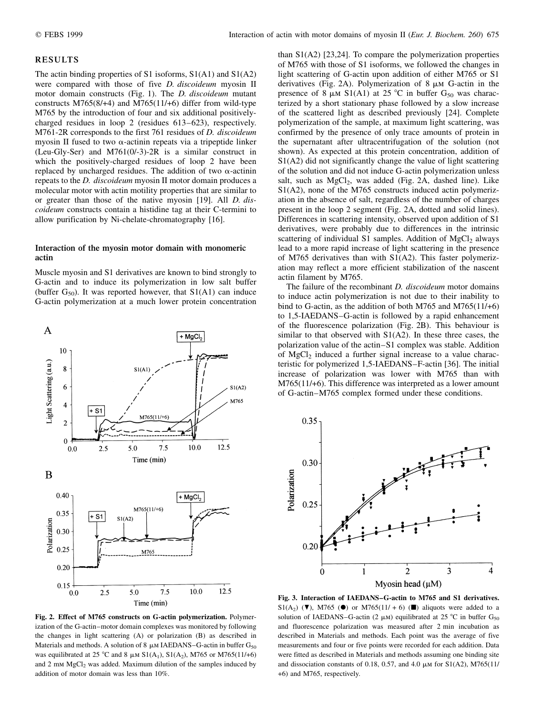#### RESULTS

The actin binding properties of S1 isoforms, S1(A1) and S1(A2) were compared with those of five *D. discoideum* myosin II motor domain constructs (Fig. 1). The D. discoideum mutant constructs M765(8/+4) and M765(11/+6) differ from wild-type M765 by the introduction of four and six additional positivelycharged residues in loop 2 (residues  $613-623$ ), respectively. M761-2R corresponds to the first 761 residues of D. discoideum myosin II fused to two  $\alpha$ -actinin repeats via a tripeptide linker (Leu-Gly-Ser) and M761(0/-3)-2R is a similar construct in which the positively-charged residues of loop 2 have been replaced by uncharged residues. The addition of two  $\alpha$ -actinin repeats to the *D. discoideum* myosin II motor domain produces a molecular motor with actin motility properties that are similar to or greater than those of the native myosin [19]. All D. discoideum constructs contain a histidine tag at their C-termini to allow purification by Ni-chelate-chromatography [16].

# Interaction of the myosin motor domain with monomeric actin

Muscle myosin and S1 derivatives are known to bind strongly to G-actin and to induce its polymerization in low salt buffer (buffer  $G_{50}$ ). It was reported however, that  $S1(A1)$  can induce G-actin polymerization at a much lower protein concentration



Fig. 2. Effect of M765 constructs on G-actin polymerization. Polymerization of the G-actin-motor domain complexes was monitored by following the changes in light scattering (A) or polarization (B) as described in Materials and methods. A solution of 8  $\mu$ M IAEDANS-G-actin in buffer G<sub>50</sub> was equilibrated at 25 °C and 8  $\mu$ m S1(A<sub>1</sub>), S1(A<sub>2</sub>), M765 or M765(11/+6) and  $2 \text{ mm } MgCl<sub>2</sub>$  was added. Maximum dilution of the samples induced by addition of motor domain was less than 10%.

than S1(A2) [23,24]. To compare the polymerization properties of M765 with those of S1 isoforms, we followed the changes in light scattering of G-actin upon addition of either M765 or S1 derivatives (Fig. 2A). Polymerization of  $8 \mu M$  G-actin in the presence of 8  $\mu$ m S1(A1) at 25 °C in buffer G<sub>50</sub> was characterized by a short stationary phase followed by a slow increase of the scattered light as described previously [24]. Complete polymerization of the sample, at maximum light scattering, was confirmed by the presence of only trace amounts of protein in the supernatant after ultracentrifugation of the solution (not shown). As expected at this protein concentration, addition of S1(A2) did not significantly change the value of light scattering of the solution and did not induce G-actin polymerization unless salt, such as  $MgCl<sub>2</sub>$ , was added (Fig. 2A, dashed line). Like S1(A2), none of the M765 constructs induced actin polymerization in the absence of salt, regardless of the number of charges present in the loop 2 segment (Fig. 2A, dotted and solid lines). Differences in scattering intensity, observed upon addition of S1 derivatives, were probably due to differences in the intrinsic scattering of individual S1 samples. Addition of  $MgCl<sub>2</sub>$  always lead to a more rapid increase of light scattering in the presence of M765 derivatives than with S1(A2). This faster polymerization may reflect a more efficient stabilization of the nascent actin filament by M765.

The failure of the recombinant *D. discoideum* motor domains to induce actin polymerization is not due to their inability to bind to G-actin, as the addition of both M765 and M765(11/+6) to 1,5-IAEDANS–G-actin is followed by a rapid enhancement of the fluorescence polarization (Fig. 2B). This behaviour is similar to that observed with S1(A2). In these three cases, the polarization value of the actin–S1 complex was stable. Addition of  $MgCl<sub>2</sub>$  induced a further signal increase to a value characteristic for polymerized 1,5-IAEDANS-F-actin [36]. The initial increase of polarization was lower with M765 than with M765(11/+6). This difference was interpreted as a lower amount of G-actin–M765 complex formed under these conditions.



Fig. 3. Interaction of IAEDANS-G-actin to M765 and S1 derivatives.  $S1(A_2)$  (**V**), M765 (**O**) or M765(11/ + 6) (**D**) aliquots were added to a solution of IAEDANS–G-actin (2  $\mu$ m) equilibrated at 25 °C in buffer G<sub>50</sub> and fluorescence polarization was measured after 2 min incubation as described in Materials and methods. Each point was the average of five measurements and four or five points were recorded for each addition. Data were fitted as described in Materials and methods assuming one binding site and dissociation constants of 0.18, 0.57, and 4.0  $\mu$ M for S1(A2), M765(11/ +6) and M765, respectively.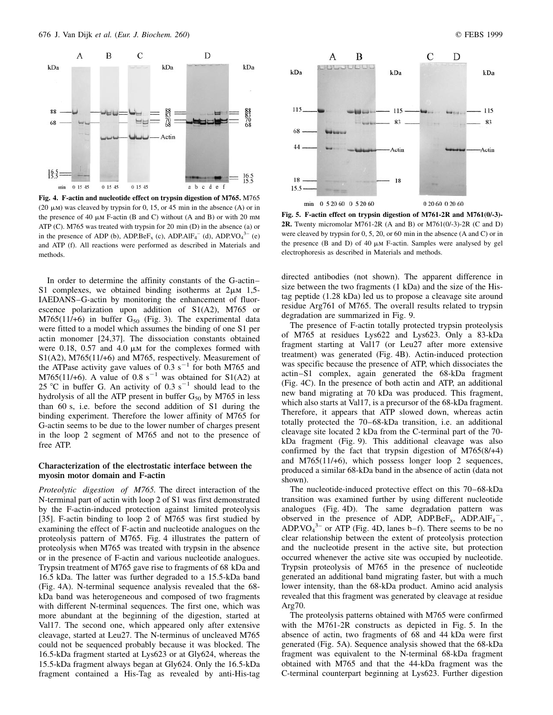

Fig. 4. F-actin and nucleotide effect on trypsin digestion of M765. M765 (20  $\mu$ M) was cleaved by trypsin for 0, 15, or 45 min in the absence (A) or in the presence of 40  $\mu$ m F-actin (B and C) without (A and B) or with 20 mm ATP (C). M765 was treated with trypsin for 20 min (D) in the absence (a) or in the presence of ADP (b), ADP.Be $F_x$  (c), ADP.Al $F_4$ <sup>-</sup> (d), ADP.VO<sub>4</sub><sup>3-</sup> (e) and ATP (f). All reactions were performed as described in Materials and methods.

In order to determine the affinity constants of the G-actin-S1 complexes, we obtained binding isotherms at  $2\mu M$  1,5-IAEDANS–G-actin by monitoring the enhancement of fluorescence polarization upon addition of S1(A2), M765 or  $M765(11/+6)$  in buffer  $G_{50}$  (Fig. 3). The experimental data were fitted to a model which assumes the binding of one S1 per actin monomer [24,37]. The dissociation constants obtained were 0.18, 0.57 and 4.0  $\mu$ m for the complexes formed with S1(A2), M765(11/+6) and M765, respectively. Measurement of the ATPase activity gave values of  $0.3 \text{ s}^{-1}$  for both M765 and M765(11/+6). A value of 0.8 s<sup>-1</sup> was obtained for S1(A2) at 25 °C in buffer G. An activity of 0.3  $s^{-1}$  should lead to the hydrolysis of all the ATP present in buffer  $G_{50}$  by M765 in less than 60 s, i.e. before the second addition of S1 during the binding experiment. Therefore the lower affinity of M765 for G-actin seems to be due to the lower number of charges present in the loop 2 segment of M765 and not to the presence of free ATP.

# Characterization of the electrostatic interface between the myosin motor domain and F-actin

Proteolytic digestion of M765. The direct interaction of the N-terminal part of actin with loop 2 of S1 was first demonstrated by the F-actin-induced protection against limited proteolysis [35]. F-actin binding to loop 2 of M765 was first studied by examining the effect of F-actin and nucleotide analogues on the proteolysis pattern of M765. Fig. 4 illustrates the pattern of proteolysis when M765 was treated with trypsin in the absence or in the presence of F-actin and various nucleotide analogues. Trypsin treatment of M765 gave rise to fragments of 68 kDa and 16.5 kDa. The latter was further degraded to a 15.5-kDa band (Fig. 4A). N-terminal sequence analysis revealed that the 68 kDa band was heterogeneous and composed of two fragments with different N-terminal sequences. The first one, which was more abundant at the beginning of the digestion, started at Val17. The second one, which appeared only after extensive cleavage, started at Leu27. The N-terminus of uncleaved M765 could not be sequenced probably because it was blocked. The 16.5-kDa fragment started at Lys623 or at Gly624, whereas the 15.5-kDa fragment always began at Gly624. Only the 16.5-kDa fragment contained a His-Tag as revealed by anti-His-tag



Fig. 5. F-actin effect on trypsin digestion of M761-2R and M761(0/-3)- 2R. Twenty micromolar M761-2R (A and B) or M761(0/-3)-2R (C and D) were cleaved by trypsin for 0, 5, 20, or 60 min in the absence (A and C) or in the presence  $(B \text{ and } D)$  of 40  $\mu$ M F-actin. Samples were analysed by gel electrophoresis as described in Materials and methods.

directed antibodies (not shown). The apparent difference in size between the two fragments (1 kDa) and the size of the Histag peptide (1.28 kDa) led us to propose a cleavage site around residue Arg761 of M765. The overall results related to trypsin degradation are summarized in Fig. 9.

The presence of F-actin totally protected trypsin proteolysis of M765 at residues Lys622 and Lys623. Only a 83-kDa fragment starting at Val17 (or Leu27 after more extensive treatment) was generated (Fig. 4B). Actin-induced protection was specific because the presence of ATP, which dissociates the actin±S1 complex, again generated the 68-kDa fragment (Fig. 4C). In the presence of both actin and ATP, an additional new band migrating at 70 kDa was produced. This fragment, which also starts at Val17, is a precursor of the 68-kDa fragment. Therefore, it appears that ATP slowed down, whereas actin totally protected the 70-68-kDa transition, i.e. an additional cleavage site located 2 kDa from the C-terminal part of the 70 kDa fragment (Fig. 9). This additional cleavage was also confirmed by the fact that trypsin digestion of M765(8/+4) and M765(11/+6), which possess longer loop 2 sequences, produced a similar 68-kDa band in the absence of actin (data not shown).

The nucleotide-induced protective effect on this 70–68-kDa transition was examined further by using different nucleotide analogues (Fig. 4D). The same degradation pattern was observed in the presence of ADP,  $\widehat{ADP.BeF_x}$ ,  $ADP.AIF_4^-$ , ADP.VO $_4^{3-}$  or ATP (Fig. 4D, lanes b–f). There seems to be no clear relationship between the extent of proteolysis protection and the nucleotide present in the active site, but protection occurred whenever the active site was occupied by nucleotide. Trypsin proteolysis of M765 in the presence of nucleotide generated an additional band migrating faster, but with a much lower intensity, than the 68-kDa product. Amino acid analysis revealed that this fragment was generated by cleavage at residue Arg70.

The proteolysis patterns obtained with M765 were confirmed with the M761-2R constructs as depicted in Fig. 5. In the absence of actin, two fragments of 68 and 44 kDa were first generated (Fig. 5A). Sequence analysis showed that the 68-kDa fragment was equivalent to the N-terminal 68-kDa fragment obtained with M765 and that the 44-kDa fragment was the C-terminal counterpart beginning at Lys623. Further digestion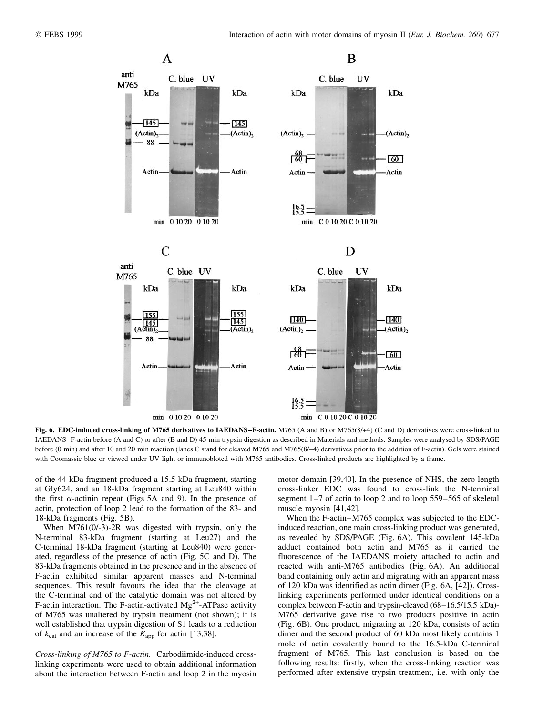

Fig. 6. EDC-induced cross-linking of M765 derivatives to IAEDANS-F-actin. M765 (A and B) or M765(8/+4) (C and D) derivatives were cross-linked to IAEDANS-F-actin before (A and C) or after (B and D) 45 min trypsin digestion as described in Materials and methods. Samples were analysed by SDS/PAGE before (0 min) and after 10 and 20 min reaction (lanes C stand for cleaved M765 and M765(8/+4) derivatives prior to the addition of F-actin). Gels were stained with Coomassie blue or viewed under UV light or immunobloted with M765 antibodies. Cross-linked products are highlighted by a frame.

of the 44-kDa fragment produced a 15.5-kDa fragment, starting at Gly624, and an 18-kDa fragment starting at Leu840 within the first  $\alpha$ -actinin repeat (Figs 5A and 9). In the presence of actin, protection of loop 2 lead to the formation of the 83- and 18-kDa fragments (Fig. 5B).

When M761(0/-3)-2R was digested with trypsin, only the N-terminal 83-kDa fragment (starting at Leu27) and the C-terminal 18-kDa fragment (starting at Leu840) were generated, regardless of the presence of actin (Fig. 5C and D). The 83-kDa fragments obtained in the presence and in the absence of F-actin exhibited similar apparent masses and N-terminal sequences. This result favours the idea that the cleavage at the C-terminal end of the catalytic domain was not altered by F-actin interaction. The F-actin-activated  $Mg^{2+}$ -ATPase activity of M765 was unaltered by trypsin treatment (not shown); it is well established that trypsin digestion of S1 leads to a reduction of  $k_{\text{cat}}$  and an increase of the  $K_{\text{app}}$  for actin [13,38].

Cross-linking of M765 to F-actin. Carbodiimide-induced crosslinking experiments were used to obtain additional information about the interaction between F-actin and loop 2 in the myosin motor domain [39,40]. In the presence of NHS, the zero-length cross-linker EDC was found to cross-link the N-terminal segment 1–7 of actin to loop 2 and to loop 559–565 of skeletal muscle myosin [41,42].

When the F-actin-M765 complex was subjected to the EDCinduced reaction, one main cross-linking product was generated, as revealed by SDS/PAGE (Fig. 6A). This covalent 145-kDa adduct contained both actin and M765 as it carried the fluorescence of the IAEDANS moiety attached to actin and reacted with anti-M765 antibodies (Fig. 6A). An additional band containing only actin and migrating with an apparent mass of 120 kDa was identified as actin dimer (Fig. 6A, [42]). Crosslinking experiments performed under identical conditions on a complex between F-actin and trypsin-cleaved (68–16.5/15.5 kDa)-M765 derivative gave rise to two products positive in actin (Fig. 6B). One product, migrating at 120 kDa, consists of actin dimer and the second product of 60 kDa most likely contains 1 mole of actin covalently bound to the 16.5-kDa C-terminal fragment of M765. This last conclusion is based on the following results: firstly, when the cross-linking reaction was performed after extensive trypsin treatment, i.e. with only the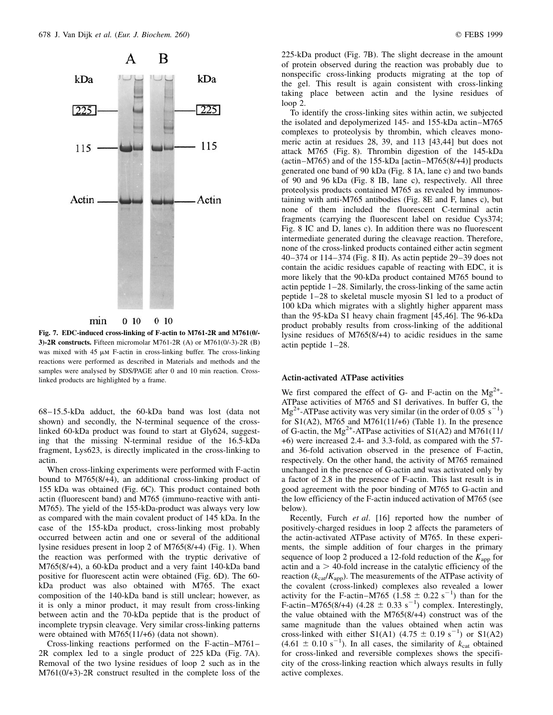

Fig. 7. EDC-induced cross-linking of F-actin to M761-2R and M761(0/- 3)-2R constructs. Fifteen micromolar M761-2R (A) or M761(0/-3)-2R (B) was mixed with  $45 \mu M$  F-actin in cross-linking buffer. The cross-linking reactions were performed as described in Materials and methods and the samples were analysed by SDS/PAGE after 0 and 10 min reaction. Crosslinked products are highlighted by a frame.

68±15.5-kDa adduct, the 60-kDa band was lost (data not shown) and secondly, the N-terminal sequence of the crosslinked 60-kDa product was found to start at Gly624, suggesting that the missing N-terminal residue of the 16.5-kDa fragment, Lys623, is directly implicated in the cross-linking to actin.

When cross-linking experiments were performed with F-actin bound to M765(8/+4), an additional cross-linking product of 155 kDa was obtained (Fig. 6C). This product contained both actin (fluorescent band) and M765 (immuno-reactive with anti-M765). The yield of the 155-kDa-product was always very low as compared with the main covalent product of 145 kDa. In the case of the 155-kDa product, cross-linking most probably occurred between actin and one or several of the additional lysine residues present in loop 2 of M765(8/+4) (Fig. 1). When the reaction was performed with the tryptic derivative of M765(8/+4), a 60-kDa product and a very faint 140-kDa band positive for fluorescent actin were obtained (Fig. 6D). The 60 kDa product was also obtained with M765. The exact composition of the 140-kDa band is still unclear; however, as it is only a minor product, it may result from cross-linking between actin and the 70-kDa peptide that is the product of incomplete trypsin cleavage. Very similar cross-linking patterns were obtained with M765(11/+6) (data not shown).

Cross-linking reactions performed on the F-actin $-M761-$ 2R complex led to a single product of 225 kDa (Fig. 7A). Removal of the two lysine residues of loop 2 such as in the M761(0/+3)-2R construct resulted in the complete loss of the 225-kDa product (Fig. 7B). The slight decrease in the amount of protein observed during the reaction was probably due to nonspecific cross-linking products migrating at the top of the gel. This result is again consistent with cross-linking taking place between actin and the lysine residues of loop 2.

To identify the cross-linking sites within actin, we subjected the isolated and depolymerized 145- and 155-kDa actin-M765 complexes to proteolysis by thrombin, which cleaves monomeric actin at residues 28, 39, and 113 [43,44] but does not attack M765 (Fig. 8). Thrombin digestion of the 145-kDa (actin $-M765$ ) and of the 155-kDa [actin $-M765(8/44)$ ] products generated one band of 90 kDa (Fig. 8 IA, lane c) and two bands of 90 and 96 kDa (Fig. 8 IB, lane c), respectively. All three proteolysis products contained M765 as revealed by immunostaining with anti-M765 antibodies (Fig. 8E and F, lanes c), but none of them included the fluorescent C-terminal actin fragments (carrying the fluorescent label on residue Cys374; Fig. 8 IC and D, lanes c). In addition there was no fluorescent intermediate generated during the cleavage reaction. Therefore, none of the cross-linked products contained either actin segment 40 $-374$  or 114 $-374$  (Fig. 8 II). As actin peptide 29 $-39$  does not contain the acidic residues capable of reacting with EDC, it is more likely that the 90-kDa product contained M765 bound to actin peptide  $1-28$ . Similarly, the cross-linking of the same actin peptide 1-28 to skeletal muscle myosin S1 led to a product of 100 kDa which migrates with a slightly higher apparent mass than the 95-kDa S1 heavy chain fragment [45,46]. The 96-kDa product probably results from cross-linking of the additional lysine residues of M765(8/+4) to acidic residues in the same actin peptide  $1-28$ .

#### Actin-activated ATPase activities

We first compared the effect of G- and F-actin on the  $Mg^{2+}$ -ATPase activities of M765 and S1 derivatives. In buffer G, the  $Mg^{2+}$ -ATPase activity was very similar (in the order of 0.05 s<sup>-1</sup>) for  $S1(A2)$ , M765 and M761(11/+6) (Table 1). In the presence of G-actin, the Mg<sup>2+</sup>-ATPase activities of  $S1(A2)$  and M761(11/ +6) were increased 2.4- and 3.3-fold, as compared with the 57 and 36-fold activation observed in the presence of F-actin, respectively. On the other hand, the activity of M765 remained unchanged in the presence of G-actin and was activated only by a factor of 2.8 in the presence of F-actin. This last result is in good agreement with the poor binding of M765 to G-actin and the low efficiency of the F-actin induced activation of M765 (see below).

Recently, Furch et al. [16] reported how the number of positively-charged residues in loop 2 affects the parameters of the actin-activated ATPase activity of M765. In these experiments, the simple addition of four charges in the primary sequence of loop 2 produced a 12-fold reduction of the  $K_{\text{app}}$  for actin and  $a > 40$ -fold increase in the catalytic efficiency of the reaction ( $k_{\text{cat}}/K_{\text{app}}$ ). The measurements of the ATPase activity of the covalent (cross-linked) complexes also revealed a lower activity for the F-actin–M765 (1.58  $\pm$  0.22 s<sup>-1</sup>) than for the F-actin-M765(8/+4) (4.28  $\pm$  0.33 s<sup>-1</sup>) complex. Interestingly, the value obtained with the M765(8/+4) construct was of the same magnitude than the values obtained when actin was cross-linked with either S1(A1)  $(4.75 \pm 0.19 \text{ s}^{-1})$  or S1(A2)  $(4.61 \pm 0.10 \text{ s}^{-1})$ . In all cases, the similarity of  $k_{\text{cat}}$  obtained for cross-linked and reversible complexes shows the specificity of the cross-linking reaction which always results in fully active complexes.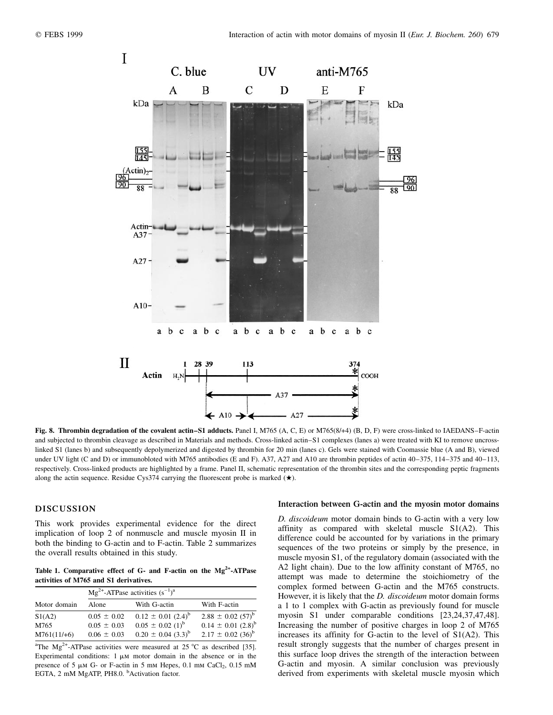

Fig. 8. Thrombin degradation of the covalent actin-S1 adducts. Panel I, M765 (A, C, E) or M765(8/+4) (B, D, F) were cross-linked to IAEDANS-F-actin and subjected to thrombin cleavage as described in Materials and methods. Cross-linked actin-S1 complexes (lanes a) were treated with KI to remove uncrosslinked S1 (lanes b) and subsequently depolymerized and digested by thrombin for 20 min (lanes c). Gels were stained with Coomassie blue (A and B), viewed under UV light (C and D) or immunobloted with M765 antibodies (E and F). A37, A27 and A10 are thrombin peptides of actin 40-375, 114-375 and 40-113, respectively. Cross-linked products are highlighted by a frame. Panel II, schematic representation of the thrombin sites and the corresponding peptic fragments along the actin sequence. Residue Cys374 carrying the fluorescent probe is marked  $(\star)$ .

# DISCUSSION

This work provides experimental evidence for the direct implication of loop 2 of nonmuscle and muscle myosin II in both the binding to G-actin and to F-actin. Table 2 summarizes the overall results obtained in this study.

Table 1. Comparative effect of  $G$ - and F-actin on the  $Mg^{2+}$ -ATPase activities of M765 and S1 derivatives.

| Motor domain  | $Mg^{2+}$ -ATPase activities $(s^{-1})^a$ |                                    |                                   |  |  |  |  |
|---------------|-------------------------------------------|------------------------------------|-----------------------------------|--|--|--|--|
|               | Alone                                     | With G-actin                       | With F-actin                      |  |  |  |  |
| S1(A2)        | $0.05 \pm 0.02$                           | $0.12 \pm 0.01$ $(2.4)^{b}$        | $2.88 \pm 0.02$ (57) <sup>b</sup> |  |  |  |  |
| M765          | $0.05 \pm 0.03$                           | $0.05 \pm 0.02$ (1) <sup>b</sup>   | $0.14 \pm 0.01$ $(2.8)^{b}$       |  |  |  |  |
| $M761(11/+6)$ | $0.06 \pm 0.03$                           | $0.20 \pm 0.04$ (3.3) <sup>b</sup> | $2.17 \pm 0.02$ (36) <sup>b</sup> |  |  |  |  |

<sup>a</sup>The Mg<sup>2+</sup>-ATPase activities were measured at 25 °C as described [35]. Experimental conditions:  $1 \mu M$  motor domain in the absence or in the presence of  $5 \mu M$  G- or F-actin in  $5 \mu M$  Hepes, 0.1 mm CaCl<sub>2</sub>, 0.15 mM EGTA, 2 mM MgATP, PH8.0. <sup>b</sup>Activation factor.

#### Interaction between G-actin and the myosin motor domains

D. discoideum motor domain binds to G-actin with a very low affinity as compared with skeletal muscle S1(A2). This difference could be accounted for by variations in the primary sequences of the two proteins or simply by the presence, in muscle myosin S1, of the regulatory domain (associated with the A2 light chain). Due to the low affinity constant of M765, no attempt was made to determine the stoichiometry of the complex formed between G-actin and the M765 constructs. However, it is likely that the *D. discoideum* motor domain forms a 1 to 1 complex with G-actin as previously found for muscle myosin S1 under comparable conditions [23,24,37,47,48]. Increasing the number of positive charges in loop 2 of M765 increases its affinity for G-actin to the level of S1(A2). This result strongly suggests that the number of charges present in this surface loop drives the strength of the interaction between G-actin and myosin. A similar conclusion was previously derived from experiments with skeletal muscle myosin which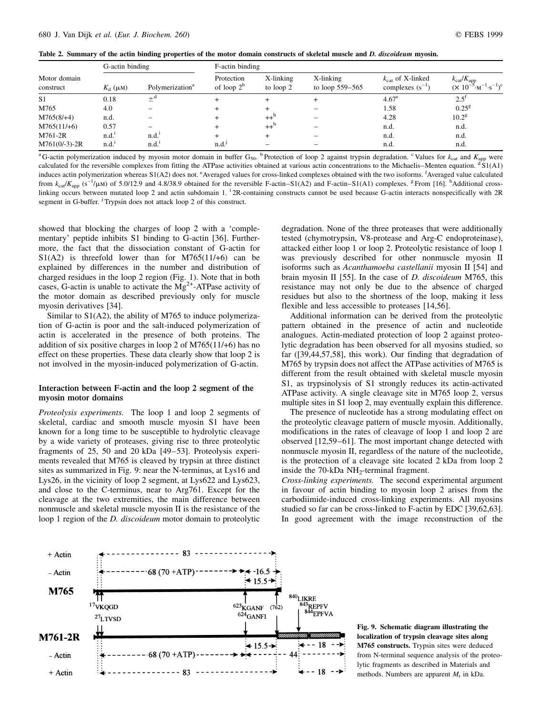Table 2. Summary of the actin binding properties of the motor domain constructs of skeletal muscle and D. discoideum myosin.

| Motor domain<br>construct | G-actin binding        |                             | F-actin binding             |                        |                                  |                                                      |                                                                              |  |
|---------------------------|------------------------|-----------------------------|-----------------------------|------------------------|----------------------------------|------------------------------------------------------|------------------------------------------------------------------------------|--|
|                           | $K_{\rm d}$ ( $\mu$ M) | Polymerization <sup>a</sup> | Protection<br>of loop $2^b$ | X-linking<br>to loop 2 | X-linking<br>to loop $559 - 565$ | $k_{\text{cat}}$ of X-linked<br>complexes $(s^{-1})$ | $k_{\text{cat}}/K_{\text{app}}$<br>$(X 10^{-5} \cdot M^{-1} \cdot s^{-1})^c$ |  |
| S <sub>1</sub>            | 0.18                   | $\pm^{\alpha}$              |                             |                        |                                  | $4.67^e$                                             | $2.5^{\circ}$                                                                |  |
| M765                      | 4.0                    |                             |                             |                        |                                  | 1.58                                                 | $0.25^{8}$                                                                   |  |
| $M765(8/+4)$              | n.d.                   |                             |                             | $++^n$                 |                                  | 4.28                                                 | $10.2^{\rm g}$                                                               |  |
| $M765(11/+6)$             | 0.57                   |                             |                             | $++^h$                 |                                  | n.d.                                                 | n.d.                                                                         |  |
| M761-2R                   | n.d. <sup>1</sup>      | n.d.                        |                             |                        |                                  | n.d.                                                 | n.d.                                                                         |  |
| $M761(0/-3)-2R$           | n.d.                   | n.d.                        | n.d.                        | $\hspace{0.05cm}$      |                                  | n.d.                                                 | n.d.                                                                         |  |

<sup>a</sup>G-actin polymerization induced by myosin motor domain in buffer G<sub>50</sub>. <sup>b</sup>Protection of loop 2 against trypsin degradation. <sup>c</sup> Values for  $k_{\text{cat}}$  and  $K_{\text{app}}$  were calculated for the reversible complexes from fitti induces actin polymerization whereas S1(A2) does not. <sup>e</sup>Averaged values for cross-linked complexes obtained with the two isoforms. <sup>f</sup>Averaged value calculated from  $k_{\text{car}}/K_{\text{app}}$  (s<sup>-1</sup>/ $\mu$ m) of 5.0/12.9 and 4.8/38.9 obtained for the reversible F-actin–S1(A2) and F-actin–S1(A1) complexes. <sup>g</sup> From [16]. <sup>h</sup>Additional crosslinking occurs between mutated loop 2 and actin subdomain 1. <sup>i</sup> 2R-containing constructs cannot be used because G-actin interacts nonspecifically with 2R segment in G-buffer. <sup>j</sup> Trypsin does not attack loop 2 of this construct.

showed that blocking the charges of loop 2 with a 'complementary' peptide inhibits S1 binding to G-actin [36]. Furthermore, the fact that the dissociation constant of G-actin for S1(A2) is threefold lower than for M765(11/+6) can be explained by differences in the number and distribution of charged residues in the loop 2 region (Fig. 1). Note that in both cases, G-actin is unable to activate the  $Mg^{2+}$ -ATPase activity of the motor domain as described previously only for muscle myosin derivatives [34].

Similar to S1(A2), the ability of M765 to induce polymerization of G-actin is poor and the salt-induced polymerization of actin is accelerated in the presence of both proteins. The addition of six positive charges in loop 2 of M765(11/+6) has no effect on these properties. These data clearly show that loop 2 is not involved in the myosin-induced polymerization of G-actin.

# Interaction between F-actin and the loop 2 segment of the myosin motor domains

Proteolysis experiments. The loop 1 and loop 2 segments of skeletal, cardiac and smooth muscle myosin S1 have been known for a long time to be susceptible to hydrolytic cleavage by a wide variety of proteases, giving rise to three proteolytic fragments of 25, 50 and 20 kDa [49-53]. Proteolysis experiments revealed that M765 is cleaved by trypsin at three distinct sites as summarized in Fig. 9: near the N-terminus, at Lys16 and Lys26, in the vicinity of loop 2 segment, at Lys622 and Lys623, and close to the C-terminus, near to Arg761. Except for the cleavage at the two extremities, the main difference between nonmuscle and skeletal muscle myosin II is the resistance of the loop 1 region of the *D. discoideum* motor domain to proteolytic

degradation. None of the three proteases that were additionally tested (chymotrypsin, V8-protease and Arg-C endoproteinase), attacked either loop 1 or loop 2. Proteolytic resistance of loop 1 was previously described for other nonmuscle myosin II isoforms such as Acanthamoeba castellanii myosin II [54] and brain myosin II [55]. In the case of D. discoideum M765, this resistance may not only be due to the absence of charged residues but also to the shortness of the loop, making it less flexible and less accessible to proteases [14,56].

Additional information can be derived from the proteolytic pattern obtained in the presence of actin and nucleotide analogues. Actin-mediated protection of loop 2 against proteolytic degradation has been observed for all myosins studied, so far ([39,44,57,58], this work). Our finding that degradation of M765 by trypsin does not affect the ATPase activities of M765 is different from the result obtained with skeletal muscle myosin S1, as trypsinolysis of S1 strongly reduces its actin-activated ATPase activity. A single cleavage site in M765 loop 2, versus multiple sites in S1 loop 2, may eventually explain this difference.

The presence of nucleotide has a strong modulating effect on the proteolytic cleavage pattern of muscle myosin. Additionally, modifications in the rates of cleavage of loop 1 and loop 2 are observed [12,59-61]. The most important change detected with nonmuscle myosin II, regardless of the nature of the nucleotide, is the protection of a cleavage site located 2 kDa from loop 2 inside the 70-kDa  $NH<sub>2</sub>$ -terminal fragment.

Cross-linking experiments. The second experimental argument in favour of actin binding to myosin loop 2 arises from the carbodiimide-induced cross-linking experiments. All myosins studied so far can be cross-linked to F-actin by EDC [39,62,63]. In good agreement with the image reconstruction of the



Fig. 9. Schematic diagram illustrating the localization of trypsin cleavage sites along M765 constructs. Trypsin sites were deduced from N-terminal sequence analysis of the proteolytic fragments as described in Materials and methods. Numbers are apparent  $M_r$  in kDa.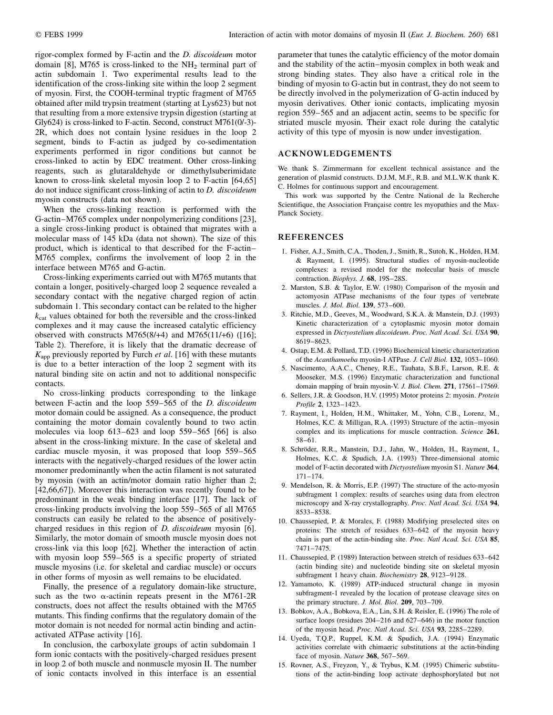rigor-complex formed by F-actin and the D. discoideum motor domain [8], M765 is cross-linked to the  $NH<sub>2</sub>$  terminal part of actin subdomain 1. Two experimental results lead to the identification of the cross-linking site within the loop 2 segment of myosin. First, the COOH-terminal tryptic fragment of M765 obtained after mild trypsin treatment (starting at Lys623) but not that resulting from a more extensive trypsin digestion (starting at Gly624) is cross-linked to F-actin. Second, construct M761(0/-3)- 2R, which does not contain lysine residues in the loop 2 segment, binds to F-actin as judged by co-sedimentation experiments performed in rigor conditions but cannot be cross-linked to actin by EDC treatment. Other cross-linking reagents, such as glutaraldehyde or dimethylsuberimidate known to cross-link skeletal myosin loop 2 to F-actin [64,65] do not induce significant cross-linking of actin to D. discoideum myosin constructs (data not shown).

When the cross-linking reaction is performed with the G-actin-M765 complex under nonpolymerizing conditions [23], a single cross-linking product is obtained that migrates with a molecular mass of 145 kDa (data not shown). The size of this product, which is identical to that described for the F-actin-M765 complex, confirms the involvement of loop 2 in the interface between M765 and G-actin.

Cross-linking experiments carried out with M765 mutants that contain a longer, positively-charged loop 2 sequence revealed a secondary contact with the negative charged region of actin subdomain 1. This secondary contact can be related to the higher  $k_{cat}$  values obtained for both the reversible and the cross-linked complexes and it may cause the increased catalytic efficiency observed with constructs  $M765(8/44)$  and  $M765(11/46)$  ([16]; Table 2). Therefore, it is likely that the dramatic decrease of  $K_{\text{app}}$  previously reported by Furch *et al.* [16] with these mutants is due to a better interaction of the loop 2 segment with its natural binding site on actin and not to additional nonspecific contacts.

No cross-linking products corresponding to the linkage between F-actin and the loop 559-565 of the D. discoideum motor domain could be assigned. As a consequence, the product containing the motor domain covalently bound to two actin molecules via loop  $613-623$  and loop  $559-565$  [66] is also absent in the cross-linking mixture. In the case of skeletal and cardiac muscle myosin, it was proposed that loop  $559-565$ interacts with the negatively-charged residues of the lower actin monomer predominantly when the actin filament is not saturated by myosin (with an actin/motor domain ratio higher than 2; [42,66,67]). Moreover this interaction was recently found to be predominant in the weak binding interface [17]. The lack of cross-linking products involving the loop 559–565 of all M765 constructs can easily be related to the absence of positivelycharged residues in this region of *D. discoideum* myosin [6]. Similarly, the motor domain of smooth muscle myosin does not cross-link via this loop [62]. Whether the interaction of actin with myosin loop  $559-565$  is a specific property of striated muscle myosins (i.e. for skeletal and cardiac muscle) or occurs in other forms of myosin as well remains to be elucidated.

Finally, the presence of a regulatory domain-like structure, such as the two  $\alpha$ -actinin repeats present in the M761-2R constructs, does not affect the results obtained with the M765 mutants. This finding confirms that the regulatory domain of the motor domain is not needed for normal actin binding and actinactivated ATPase activity [16].

In conclusion, the carboxylate groups of actin subdomain 1 form ionic contacts with the positively-charged residues present in loop 2 of both muscle and nonmuscle myosin II. The number of ionic contacts involved in this interface is an essential parameter that tunes the catalytic efficiency of the motor domain and the stability of the actin-myosin complex in both weak and strong binding states. They also have a critical role in the binding of myosin to G-actin but in contrast, they do not seem to be directly involved in the polymerization of G-actin induced by myosin derivatives. Other ionic contacts, implicating myosin region 559-565 and an adjacent actin, seems to be specific for striated muscle myosin. Their exact role during the catalytic activity of this type of myosin is now under investigation.

# ACKNOWLEDGEMENTS

We thank S. Zimmermann for excellent technical assistance and the generation of plasmid constructs. D.J.M, M.F., R.B. and M.L.W.K thank K. C. Holmes for continuous support and encouragement.

This work was supported by the Centre National de la Recherche Scientifique, the Association Française contre les myopathies and the Max-Planck Society.

# REFERENCES

- 1. Fisher, A.J., Smith, C.A., Thoden, J., Smith, R., Sutoh, K., Holden, H.M. & Rayment, I. (1995). Structural studies of myosin-nucleotide complexes: a revised model for the molecular basis of muscle contraction. Biophys. J. 68, 19S-28S.
- 2. Marston, S.B. & Taylor, E.W. (1980) Comparison of the myosin and actomyosin ATPase mechanisms of the four types of vertebrate muscles. *J. Mol. Biol.* 139, 573-600.
- 3. Ritchie, M.D., Geeves, M., Woodward, S.K.A. & Manstein, D.J. (1993) Kinetic characterization of a cytoplasmic myosin motor domain expressed in Dictyostelium discoideum. Proc. Natl Acad. Sci. USA 90, 8619±8623.
- 4. Ostap, E.M. & Pollard, T.D. (1996) Biochemical kinetic characterization of the Acanthamoeba myosin-I ATPase. J. Cell Biol. 132, 1053-1060.
- 5. Nascimento, A.A.C., Cheney, R.E., Tauhata, S.B.F., Larson, R.E. & Mooseker, M.S. (1996) Enzymatic characterization and functional domain mapping of brain myosin-V. J. Biol. Chem. 271, 17561-17569.
- 6. Sellers, J.R. & Goodson, H.V. (1995) Motor proteins 2: myosin. Protein Profile 2, 1323-1423.
- 7. Rayment, I., Holden, H.M., Whittaker, M., Yohn, C.B., Lorenz, M., Holmes, K.C. & Milligan, R.A. (1993) Structure of the actin-myosin complex and its implications for muscle contraction. Science 261, 58±61.
- 8. Schröder, R.R., Manstein, D.J., Jahn, W., Holden, H., Rayment, I., Holmes, K.C. & Spudich, J.A. (1993) Three-dimensional atomic model of F-actin decorated with Dictyostelium myosin S1. Nature 364, 171±174.
- 9. Mendelson, R. & Morris, E.P. (1997) The structure of the acto-myosin subfragment 1 complex: results of searches using data from electron microscopy and X-ray crystallography. Proc. Natl Acad. Sci. USA 94, 8533±8538.
- 10. Chaussepied, P. & Morales, F. (1988) Modifying preselected sites on proteins: The stretch of residues 633-642 of the myosin heavy chain is part of the actin-binding site. Proc. Natl Acad. Sci. USA 85, 7471±7475.
- 11. Chaussepied, P. (1989) Interaction between stretch of residues 633-642 (actin binding site) and nucleotide binding site on skeletal myosin subfragment 1 heavy chain. Biochemistry 28, 9123-9128.
- 12. Yamamoto, K. (1989) ATP-induced structural change in myosin subfragment-1 revealed by the location of protease cleavage sites on the primary structure. J. Mol. Biol.  $209$ ,  $703-709$ .
- 13. Bobkov, A.A., Bobkova, E.A., Lin, S.H. & Reisler, E. (1996) The role of surface loops (residues  $204-216$  and  $627-646$ ) in the motor function of the myosin head. Proc. Natl Acad. Sci. USA 93, 2285-2289.
- 14. Uyeda, T.Q.P., Ruppel, K.M. & Spudich, J.A. (1994) Enzymatic activities correlate with chimaeric substitutions at the actin-binding face of myosin. Nature  $368$ ,  $567-569$ .
- 15. Rovner, A.S., Freyzon, Y., & Trybus, K.M. (1995) Chimeric substitutions of the actin-binding loop activate dephosphorylated but not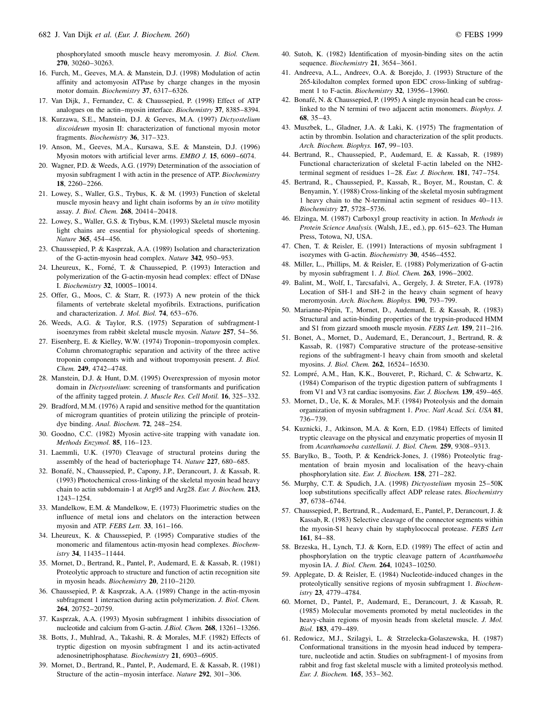phosphorylated smooth muscle heavy meromyosin. J. Biol. Chem. 270, 30260-30263.

- 16. Furch, M., Geeves, M.A. & Manstein, D.J. (1998) Modulation of actin affinity and actomyosin ATPase by charge changes in the myosin motor domain. Biochemistry 37, 6317-6326.
- 17. Van Dijk, J., Fernandez, C. & Chaussepied, P. (1998) Effect of ATP analogues on the actin-myosin interface. Biochemistry 37, 8385-8394.
- 18. Kurzawa, S.E., Manstein, D.J. & Geeves, M.A. (1997) Dictyostelium discoideum myosin II: characterization of functional myosin motor fragments. Biochemistry 36, 317-323.
- 19. Anson, M., Geeves, M.A., Kursawa, S.E. & Manstein, D.J. (1996) Myosin motors with artificial lever arms. *EMBO J*. **15**, 6069–6074.
- 20. Wagner, P.D. & Weeds, A.G. (1979) Determination of the association of myosin subfragment 1 with actin in the presence of ATP. Biochemistry 18, 2260-2266.
- 21. Lowey, S., Waller, G.S., Trybus, K. & M. (1993) Function of skeletal muscle myosin heavy and light chain isoforms by an in vitro motility assay. J. Biol. Chem. 268, 20414-20418.
- 22. Lowey, S., Waller, G.S. & Trybus, K.M. (1993) Skeletal muscle myosin light chains are essential for physiological speeds of shortening. Nature 365, 454-456.
- 23. Chaussepied, P. & Kasprzak, A.A. (1989) Isolation and characterization of the G-actin-myosin head complex. Nature 342, 950-953.
- 24. Lheureux, K., Forné, T. & Chaussepied, P. (1993) Interaction and polymerization of the G-actin-myosin head complex: effect of DNase I. Biochemistry 32, 10005-10014.
- 25. Offer, G., Moos, C. & Starr, R. (1973) A new protein of the thick filaments of vertebrate skeletal myofibrils. Extractions, purification and characterization. J. Mol. Biol. 74, 653-676.
- 26. Weeds, A.G. & Taylor, R.S. (1975) Separation of subfragment-1 isoenzymes from rabbit skeletal muscle myosin. Nature 257, 54-56.
- 27. Eisenberg, E. & Kielley, W.W. (1974) Troponin-tropomyosin complex. Column chromatographic separation and activity of the three active troponin components with and without tropomyosin present. J. Biol. Chem. 249, 4742-4748.
- 28. Manstein, D.J. & Hunt, D.M. (1995) Overexpression of myosin motor domain in Dictyostelium: screening of transformants and purification of the affinity tagged protein. J. Muscle Res. Cell Motil. 16, 325-332.
- 29. Bradford, M.M. (1976) A rapid and sensitive method for the quantitation of microgram quantities of protein utilizing the principle of proteindye binding. Anal. Biochem. 72, 248-254.
- 30. Goodno, C.C. (1982) Myosin active-site trapping with vanadate ion. Methods Enzymol. 85, 116-123.
- 31. Laemmli, U.K. (1970) Cleavage of structural proteins during the assembly of the head of bacteriophage T4. Nature 227, 680-685.
- 32. Bonafé, N., Chaussepied, P., Capony, J.P., Derancourt, J. & Kassab, R. (1993) Photochemical cross-linking of the skeletal myosin head heavy chain to actin subdomain-1 at Arg95 and Arg28. Eur. J. Biochem. 213, 1243±1254.
- 33. Mandelkow, E.M. & Mandelkow, E. (1973) Fluorimetric studies on the influence of metal ions and chelators on the interaction between myosin and ATP. FEBS Lett.  $33$ , 161-166.
- 34. Lheureux, K. & Chaussepied, P. (1995) Comparative studies of the monomeric and filamentous actin-myosin head complexes. Biochem $istrv$  34, 11435 $-114444$ .
- 35. Mornet, D., Bertrand, R., Pantel, P., Audemard, E. & Kassab, R. (1981) Proteolytic approach to structure and function of actin recognition site in myosin heads. Biochemistry  $20$ ,  $2110-2120$ .
- 36. Chaussepied, P. & Kasprzak, A.A. (1989) Change in the actin-myosin subfragment 1 interaction during actin polymerization. J. Biol. Chem. 264, 20752-20759.
- 37. Kasprzak, A.A. (1993) Myosin subfragment 1 inhibits dissociation of nucleotide and calcium from G-actin. J.Biol. Chem. 268, 13261-13266.
- 38. Botts, J., Muhlrad, A., Takashi, R. & Morales, M.F. (1982) Effects of tryptic digestion on myosin subfragment 1 and its actin-activated adenosinetriphosphatase. Biochemistry 21, 6903-6905.
- 39. Mornet, D., Bertrand, R., Pantel, P., Audemard, E. & Kassab, R. (1981) Structure of the actin-myosin interface. Nature 292, 301-306.
- 40. Sutoh, K. (1982) Identification of myosin-binding sites on the actin sequence. Biochemistry 21, 3654-3661.
- 41. Andreeva, A.L., Andreev, O.A. & Borejdo, J. (1993) Structure of the 265-kilodalton complex formed upon EDC cross-linking of subfragment 1 to F-actin. Biochemistry 32, 13956-13960.
- 42. Bonafé, N. & Chaussepied, P. (1995) A single myosin head can be crosslinked to the N termini of two adjacent actin monomers. Biophys. J. 68, 35-43.
- 43. Muszbek, L., Gladner, J.A. & Laki, K. (1975) The fragmentation of actin by thrombin. Isolation and characterization of the split products. Arch. Biochem. Biophys. 167, 99-103.
- 44. Bertrand, R., Chaussepied, P., Audemard, E. & Kassab, R. (1989) Functional characterization of skeletal F-actin labeled on the NH2 terminal segment of residues 1-28. Eur. J. Biochem. 181, 747-754.
- 45. Bertrand, R., Chaussepied, P., Kassab, R., Boyer, M., Roustan, C. & Benyamin, Y. (1988) Cross-linking of the skeletal myosin subfragment 1 heavy chain to the N-terminal actin segment of residues 40–113. Biochemistry 27, 5728-5736.
- 46. Elzinga, M. (1987) Carboxyl group reactivity in action. In Methods in Protein Science Analysis. (Walsh, J.E., ed.), pp. 615-623. The Human Press, Totowa, NJ, USA.
- 47. Chen, T. & Reisler, E. (1991) Interactions of myosin subfragment 1 isozymes with G-actin. Biochemistry 30, 4546-4552.
- 48. Miller, L., Phillips, M. & Reisler, E. (1988) Polymerization of G-actin by myosin subfragment 1. J. Biol. Chem. 263, 1996-2002.
- 49. Balint, M., Wolf, I., Tarcsafalvi, A., Gergely, J. & Streter, F.A. (1978) Location of SH-1 and SH-2 in the heavy chain segment of heavy meromyosin. Arch. Biochem. Biophys. 190, 793-799.
- 50. Marianne-Pépin, T., Mornet, D., Audemard, E. & Kassab, R. (1983) Structural and actin-binding properties of the trypsin-produced HMM and S1 from gizzard smooth muscle myosin. FEBS Lett. 159, 211-216.
- 51. Bonet, A., Mornet, D., Audemard, E., Derancourt, J., Bertrand, R. & Kassab, R. (1987) Comparative structure of the protease-sensitive regions of the subfragment-1 heavy chain from smooth and skeletal myosins. J. Biol. Chem. 262, 16524-16530.
- 52. Lompré, A.M., Han, K.K., Bouveret, P., Richard, C. & Schwartz, K. (1984) Comparison of the tryptic digestion pattern of subfragments 1 from V1 and V3 rat cardiac isomyosins. Eur. J. Biochem. 139, 459-465.
- 53. Mornet, D., Ue, K. & Morales, M.F. (1984) Proteolysis and the domain organization of myosin subfragment 1. Proc. Natl Acad. Sci. USA 81, 736±739.
- 54. Kuznicki, J., Atkinson, M.A. & Korn, E.D. (1984) Effects of limited tryptic cleavage on the physical and enzymatic properties of myosin II from Acanthamoeba castellanii. J. Biol. Chem. 259, 9308-9313.
- 55. Barylko, B., Tooth, P. & Kendrick-Jones, J. (1986) Proteolytic fragmentation of brain myosin and localisation of the heavy-chain phosphorylation site. Eur. J. Biochem. 158, 271-282.
- 56. Murphy, C.T. & Spudich, J.A. (1998) Dictyostelium myosin 25-50K loop substitutions specifically affect ADP release rates. Biochemistry 37, 6738±6744.
- 57. Chaussepied, P., Bertrand, R., Audemard, E., Pantel, P., Derancourt, J. & Kassab, R. (1983) Selective cleavage of the connector segments within the myosin-S1 heavy chain by staphylococcal protease. FEBS Lett 161, 84-88.
- 58. Brzeska, H., Lynch, T.J. & Korn, E.D. (1989) The effect of actin and phosphorylation on the tryptic cleavage pattern of Acanthamoeba myosin IA. J. Biol. Chem. 264, 10243-10250.
- 59. Applegate, D. & Reisler, E. (1984) Nucleotide-induced changes in the proteolytically sensitive regions of myosin subfragment 1. Biochemistry 23, 4779-4784.
- 60. Mornet, D., Pantel, P., Audemard, E., Derancourt, J. & Kassab, R. (1985) Molecular movements promoted by metal nucleotides in the heavy-chain regions of myosin heads from skeletal muscle. J. Mol. Biol. 183, 479-489.
- 61. Redowicz, M.J., Szilagyi, L. & Strzelecka-Golaszewska, H. (1987) Conformational transitions in the myosin head induced by temperature, nucleotide and actin. Studies on subfragment-1 of myosins from rabbit and frog fast skeletal muscle with a limited proteolysis method. Eur. J. Biochem. 165, 353-362.